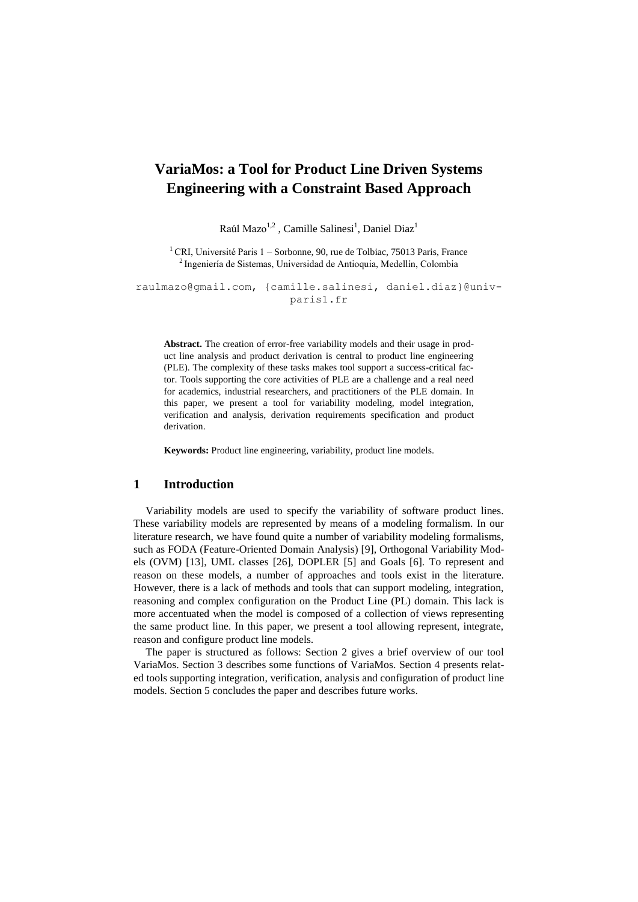# **VariaMos: a Tool for Product Line Driven Systems Engineering with a Constraint Based Approach**

Raúl Mazo<sup>1,2</sup>, Camille Salinesi<sup>1</sup>, Daniel Diaz<sup>1</sup>

<sup>1</sup> CRI. Université Paris 1 – Sorbonne, 90, rue de Tolbiac, 75013 Paris, France <sup>2</sup>Ingeniería de Sistemas, Universidad de Antioquia, Medellín, Colombia

raulmazo@gmail.com, {camille.salinesi, [daniel.diaz}@univ](mailto:daniel.diaz%7d@univ-paris1.fr)[paris1.fr](mailto:daniel.diaz%7d@univ-paris1.fr)

**Abstract.** The creation of error-free variability models and their usage in product line analysis and product derivation is central to product line engineering (PLE). The complexity of these tasks makes tool support a success-critical factor. Tools supporting the core activities of PLE are a challenge and a real need for academics, industrial researchers, and practitioners of the PLE domain. In this paper, we present a tool for variability modeling, model integration, verification and analysis, derivation requirements specification and product derivation.

**Keywords:** Product line engineering, variability, product line models.

### **1 Introduction**

Variability models are used to specify the variability of software product lines. These variability models are represented by means of a modeling formalism. In our literature research, we have found quite a number of variability modeling formalisms, such as FODA (Feature-Oriented Domain Analysis) [9], Orthogonal Variability Models (OVM) [13], UML classes [26], DOPLER [5] and Goals [6]. To represent and reason on these models, a number of approaches and tools exist in the literature. However, there is a lack of methods and tools that can support modeling, integration, reasoning and complex configuration on the Product Line (PL) domain. This lack is more accentuated when the model is composed of a collection of views representing the same product line. In this paper, we present a tool allowing represent, integrate, reason and configure product line models.

The paper is structured as follows: Section 2 gives a brief overview of our tool VariaMos. Section 3 describes some functions of VariaMos. Section 4 presents related tools supporting integration, verification, analysis and configuration of product line models. Section 5 concludes the paper and describes future works.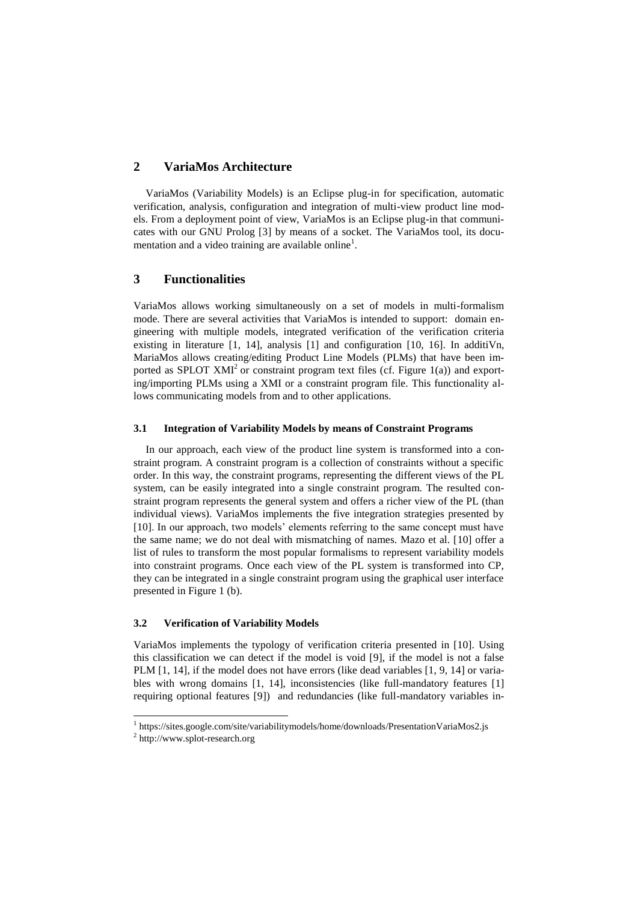# **2 VariaMos Architecture**

VariaMos (Variability Models) is an Eclipse plug-in for specification, automatic verification, analysis, configuration and integration of multi-view product line models. From a deployment point of view, VariaMos is an Eclipse plug-in that communicates with our GNU Prolog [3] by means of a socket. The VariaMos tool, its documentation and a video training are available online<sup>1</sup>.

# **3 Functionalities**

VariaMos allows working simultaneously on a set of models in multi-formalism mode. There are several activities that VariaMos is intended to support: domain engineering with multiple models, integrated verification of the verification criteria existing in literature [1, 14], analysis [1] and configuration [10, 16]. In additiVn, MariaMos allows creating/editing Product Line Models (PLMs) that have been imported as SPLOT XMI<sup>2</sup> or constraint program text files (cf. Figure 1(a)) and exporting/importing PLMs using a XMI or a constraint program file. This functionality allows communicating models from and to other applications.

### **3.1 Integration of Variability Models by means of Constraint Programs**

In our approach, each view of the product line system is transformed into a constraint program. A constraint program is a collection of constraints without a specific order. In this way, the constraint programs, representing the different views of the PL system, can be easily integrated into a single constraint program. The resulted constraint program represents the general system and offers a richer view of the PL (than individual views). VariaMos implements the five integration strategies presented by [10]. In our approach, two models' elements referring to the same concept must have the same name; we do not deal with mismatching of names. Mazo et al. [10] offer a list of rules to transform the most popular formalisms to represent variability models into constraint programs. Once each view of the PL system is transformed into CP, they can be integrated in a single constraint program using the graphical user interface presented in Figure 1 (b).

#### **3.2 Verification of Variability Models**

VariaMos implements the typology of verification criteria presented in [10]. Using this classification we can detect if the model is void [9], if the model is not a false PLM [1, 14], if the model does not have errors (like dead variables [1, 9, 14] or variables with wrong domains [1, 14], inconsistencies (like full-mandatory features [1] requiring optional features [9]) and redundancies (like full-mandatory variables in-

 $\overline{a}$ 

<sup>&</sup>lt;sup>1</sup> [https://sites.google.com/site/variabilitymodels/home/downloads/](https://sites.google.com/site/variabilitymodels/home/downloads)PresentationVariaMos2.js

<sup>&</sup>lt;sup>2</sup> [http://www.splot-research.org](http://www.splot-research.org/)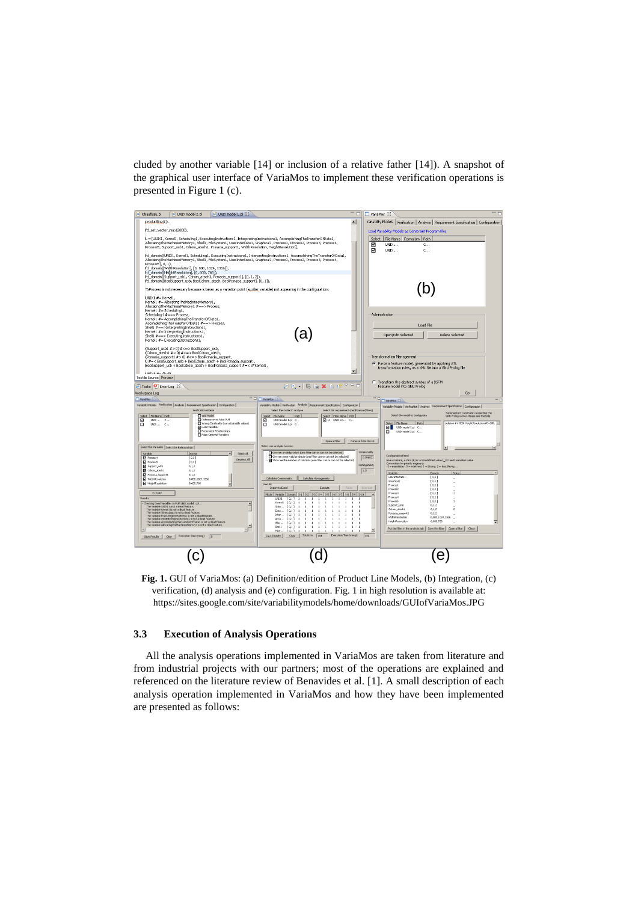cluded by another variable [14] or inclusion of a relative father [14]). A snapshot of the graphical user interface of VariaMos to implement these verification operations is presented in Figure 1 (c).



**Fig. 1.** GUI of VariaMos: (a) Definition/edition of Product Line Models, (b) Integration, (c) verification, (d) analysis and (e) configuration. Fig. 1 in high resolution is available at: https://sites.google.com/site/variabilitymodels/home/downloads/GUIofVariaMos.JPG

## **3.3 Execution of Analysis Operations**

All the analysis operations implemented in VariaMos are taken from literature and from industrial projects with our partners; most of the operations are explained and referenced on the literature review of Benavides et al. [1]. A small description of each analysis operation implemented in VariaMos and how they have been implemented are presented as follows: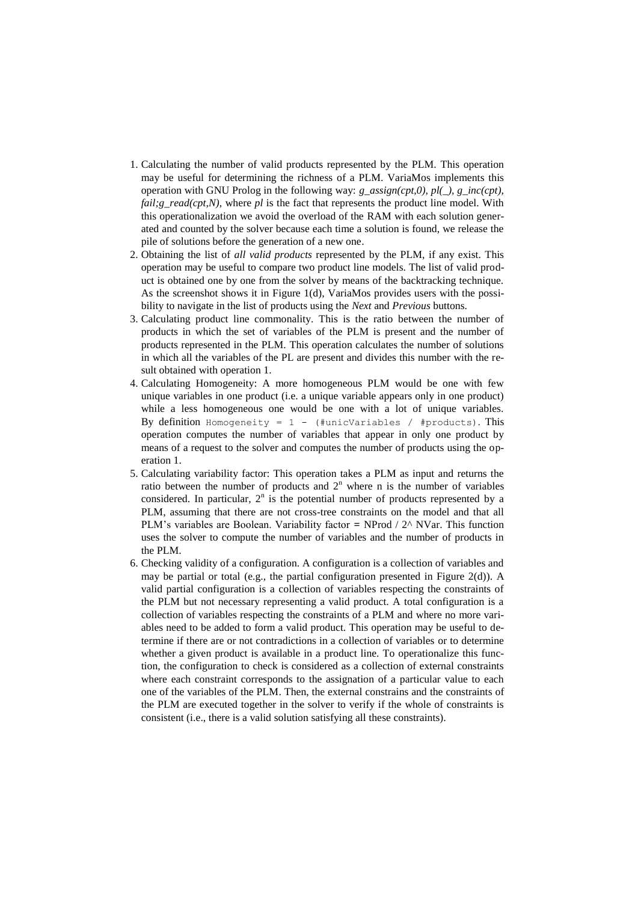- 1. Calculating the number of valid products represented by the PLM. This operation may be useful for determining the richness of a PLM. VariaMos implements this operation with GNU Prolog in the following way: *g\_assign(cpt,0), pl(\_), g\_inc(cpt), fail;g\_read(cpt,N)*, where *pl* is the fact that represents the product line model. With this operationalization we avoid the overload of the RAM with each solution generated and counted by the solver because each time a solution is found, we release the pile of solutions before the generation of a new one.
- 2. Obtaining the list of *all valid products* represented by the PLM, if any exist. This operation may be useful to compare two product line models. The list of valid product is obtained one by one from the solver by means of the backtracking technique. As the screenshot shows it in Figure 1(d), VariaMos provides users with the possibility to navigate in the list of products using the *Next* and *Previous* buttons.
- 3. Calculating product line commonality. This is the ratio between the number of products in which the set of variables of the PLM is present and the number of products represented in the PLM. This operation calculates the number of solutions in which all the variables of the PL are present and divides this number with the result obtained with operation 1.
- 4. Calculating Homogeneity: A more homogeneous PLM would be one with few unique variables in one product (i.e. a unique variable appears only in one product) while a less homogeneous one would be one with a lot of unique variables. By definition Homogeneity =  $1 -$  (#unicVariables / #products). This operation computes the number of variables that appear in only one product by means of a request to the solver and computes the number of products using the operation 1.
- 5. Calculating variability factor: This operation takes a PLM as input and returns the ratio between the number of products and  $2<sup>n</sup>$  where n is the number of variables considered. In particular,  $2<sup>n</sup>$  is the potential number of products represented by a PLM, assuming that there are not cross-tree constraints on the model and that all PLM's variables are Boolean. Variability factor **=** NProd / 2^ NVar. This function uses the solver to compute the number of variables and the number of products in the PLM.
- 6. Checking validity of a configuration. A configuration is a collection of variables and may be partial or total (e.g., the partial configuration presented in Figure 2(d)). A valid partial configuration is a collection of variables respecting the constraints of the PLM but not necessary representing a valid product. A total configuration is a collection of variables respecting the constraints of a PLM and where no more variables need to be added to form a valid product. This operation may be useful to determine if there are or not contradictions in a collection of variables or to determine whether a given product is available in a product line. To operationalize this function, the configuration to check is considered as a collection of external constraints where each constraint corresponds to the assignation of a particular value to each one of the variables of the PLM. Then, the external constrains and the constraints of the PLM are executed together in the solver to verify if the whole of constraints is consistent (i.e., there is a valid solution satisfying all these constraints).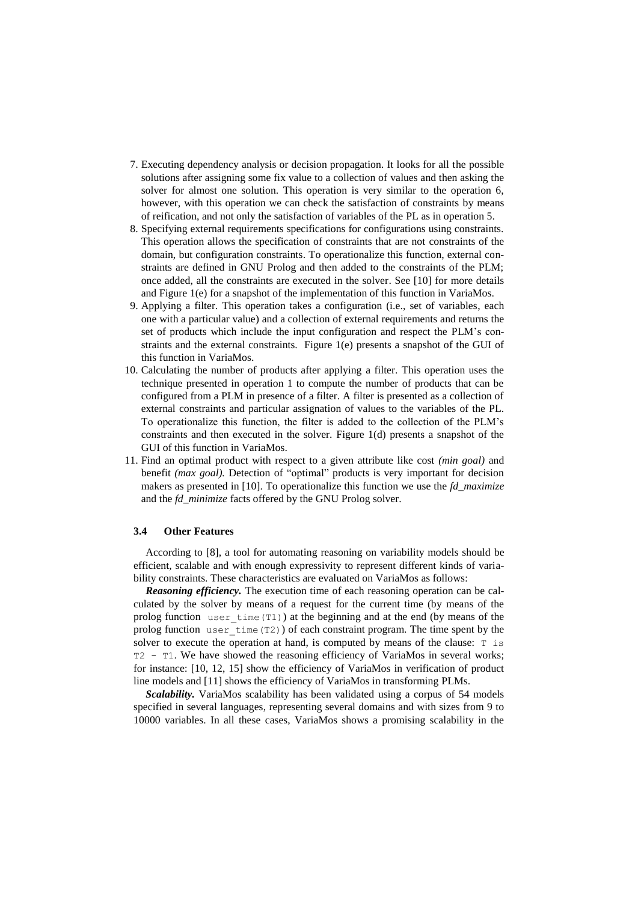- 7. Executing dependency analysis or decision propagation. It looks for all the possible solutions after assigning some fix value to a collection of values and then asking the solver for almost one solution. This operation is very similar to the operation 6, however, with this operation we can check the satisfaction of constraints by means of reification, and not only the satisfaction of variables of the PL as in operation 5.
- 8. Specifying external requirements specifications for configurations using constraints. This operation allows the specification of constraints that are not constraints of the domain, but configuration constraints. To operationalize this function, external constraints are defined in GNU Prolog and then added to the constraints of the PLM; once added, all the constraints are executed in the solver. See [10] for more details and Figure 1(e) for a snapshot of the implementation of this function in VariaMos.
- 9. Applying a filter. This operation takes a configuration (i.e., set of variables, each one with a particular value) and a collection of external requirements and returns the set of products which include the input configuration and respect the PLM's constraints and the external constraints. Figure 1(e) presents a snapshot of the GUI of this function in VariaMos.
- 10. Calculating the number of products after applying a filter. This operation uses the technique presented in operation 1 to compute the number of products that can be configured from a PLM in presence of a filter. A filter is presented as a collection of external constraints and particular assignation of values to the variables of the PL. To operationalize this function, the filter is added to the collection of the PLM's constraints and then executed in the solver. Figure 1(d) presents a snapshot of the GUI of this function in VariaMos.
- 11. Find an optimal product with respect to a given attribute like cost *(min goal)* and benefit *(max goal).* Detection of "optimal" products is very important for decision makers as presented in [10]. To operationalize this function we use the *fd\_maximize* and the *fd\_minimize* facts offered by the GNU Prolog solver.

## **3.4 Other Features**

According to [8], a tool for automating reasoning on variability models should be efficient, scalable and with enough expressivity to represent different kinds of variability constraints. These characteristics are evaluated on VariaMos as follows:

*Reasoning efficiency.* The execution time of each reasoning operation can be calculated by the solver by means of a request for the current time (by means of the prolog function user  $\times$  time(T1)) at the beginning and at the end (by means of the prolog function user  $\times$  time(T2)) of each constraint program. The time spent by the solver to execute the operation at hand, is computed by means of the clause:  $T \text{ is}$ T2 - T1. We have showed the reasoning efficiency of VariaMos in several works; for instance: [10, 12, 15] show the efficiency of VariaMos in verification of product line models and [11] shows the efficiency of VariaMos in transforming PLMs.

*Scalability.* VariaMos scalability has been validated using a corpus of 54 models specified in several languages, representing several domains and with sizes from 9 to 10000 variables. In all these cases, VariaMos shows a promising scalability in the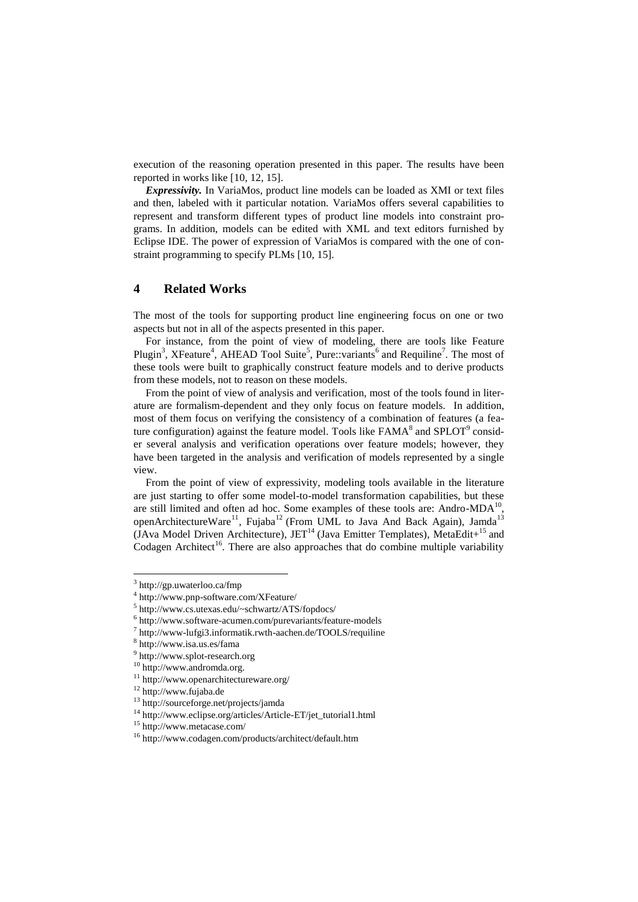execution of the reasoning operation presented in this paper. The results have been reported in works like [10, 12, 15].

*Expressivity.* In VariaMos, product line models can be loaded as XMI or text files and then, labeled with it particular notation. VariaMos offers several capabilities to represent and transform different types of product line models into constraint programs. In addition, models can be edited with XML and text editors furnished by Eclipse IDE. The power of expression of VariaMos is compared with the one of constraint programming to specify PLMs [10, 15].

# **4 Related Works**

The most of the tools for supporting product line engineering focus on one or two aspects but not in all of the aspects presented in this paper.

For instance, from the point of view of modeling, there are tools like Feature Plugin<sup>3</sup>, XFeature<sup>4</sup>, AHEAD Tool Suite<sup>5</sup>, Pure::variants<sup>6</sup> and Requiline<sup>7</sup>. The most of these tools were built to graphically construct feature models and to derive products from these models, not to reason on these models.

From the point of view of analysis and verification, most of the tools found in literature are formalism-dependent and they only focus on feature models. In addition, most of them focus on verifying the consistency of a combination of features (a feature configuration) against the feature model. Tools like  $FAMA<sup>8</sup>$  and  $SPLOT<sup>9</sup>$  consider several analysis and verification operations over feature models; however, they have been targeted in the analysis and verification of models represented by a single view.

From the point of view of expressivity, modeling tools available in the literature are just starting to offer some model-to-model transformation capabilities, but these are still limited and often ad hoc. Some examples of these tools are: Andro-MDA $^{10}$ , openArchitectureWare<sup>11</sup>, Fujaba<sup>12</sup> (From UML to Java And Back Again), Jamda<sup>13</sup> (JAva Model Driven Architecture), JET<sup>14</sup> (Java Emitter Templates), MetaEdit+<sup>15</sup> and Codagen Architect<sup>16</sup>. There are also approaches that do combine multiple variability

l

<sup>3</sup> <http://gp.uwaterloo.ca/fmp>

<sup>4</sup> http://www.pnp-software.com/XFeature/

<sup>5</sup> <http://www.cs.utexas.edu/~schwartz/ATS/fopdocs/>

<sup>6</sup> http://www.software-acumen.com/purevariants/feature-models

<sup>7</sup> http://www-lufgi3.informatik.rwth-aachen.de/TOOLS/requiline

<sup>8</sup> <http://www.isa.us.es/fama>

<sup>9</sup> [http://www.splot-research.org](http://www.splot-research.org/)

<sup>10</sup> http://www.andromda.org.

<sup>11</sup> http://www.openarchitectureware.org/

<sup>12</sup> http://www.fujaba.de

<sup>13</sup> http://sourceforge.net/projects/jamda

<sup>14</sup> http://www.eclipse.org/articles/Article-ET/jet\_tutorial1.html

<sup>15</sup> http://www.metacase.com/

<sup>16</sup> http://www.codagen.com/products/architect/default.htm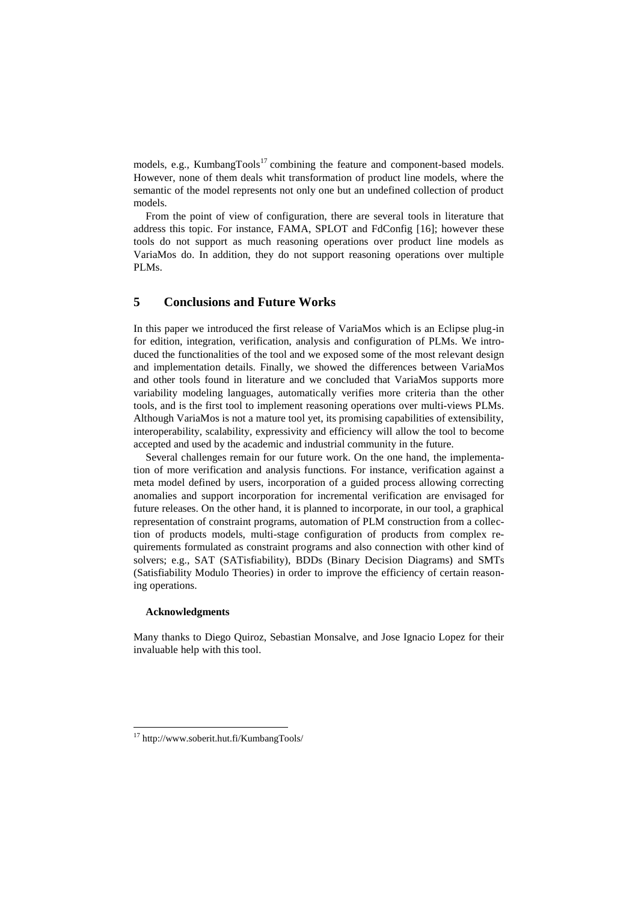models, e.g., Kumbang $Tools<sup>17</sup>$  combining the feature and component-based models. However, none of them deals whit transformation of product line models, where the semantic of the model represents not only one but an undefined collection of product models.

From the point of view of configuration, there are several tools in literature that address this topic. For instance, FAMA, SPLOT and FdConfig [16]; however these tools do not support as much reasoning operations over product line models as VariaMos do. In addition, they do not support reasoning operations over multiple PLMs.

# **5 Conclusions and Future Works**

In this paper we introduced the first release of VariaMos which is an Eclipse plug-in for edition, integration, verification, analysis and configuration of PLMs. We introduced the functionalities of the tool and we exposed some of the most relevant design and implementation details. Finally, we showed the differences between VariaMos and other tools found in literature and we concluded that VariaMos supports more variability modeling languages, automatically verifies more criteria than the other tools, and is the first tool to implement reasoning operations over multi-views PLMs. Although VariaMos is not a mature tool yet, its promising capabilities of extensibility, interoperability, scalability, expressivity and efficiency will allow the tool to become accepted and used by the academic and industrial community in the future.

Several challenges remain for our future work. On the one hand, the implementation of more verification and analysis functions. For instance, verification against a meta model defined by users, incorporation of a guided process allowing correcting anomalies and support incorporation for incremental verification are envisaged for future releases. On the other hand, it is planned to incorporate, in our tool, a graphical representation of constraint programs, automation of PLM construction from a collection of products models, multi-stage configuration of products from complex requirements formulated as constraint programs and also connection with other kind of solvers; e.g., SAT (SATisfiability), BDDs (Binary Decision Diagrams) and SMTs (Satisfiability Modulo Theories) in order to improve the efficiency of certain reasoning operations.

## **Acknowledgments**

 $\overline{a}$ 

Many thanks to Diego Quiroz, Sebastian Monsalve, and Jose Ignacio Lopez for their invaluable help with this tool.

<sup>17</sup> <http://www.soberit.hut.fi/KumbangTools/>